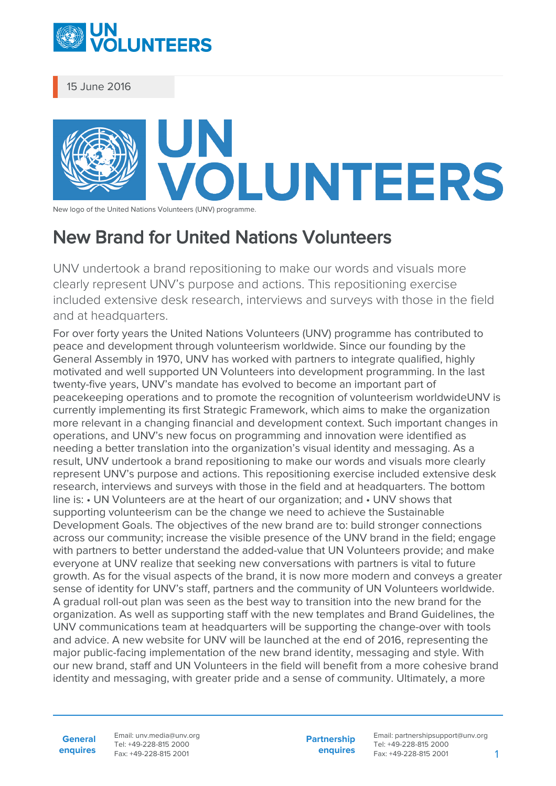

15 June 2016

## OLUNTEERS

New logo of the United Nations Volunteers (UNV) programme.

## New Brand for United Nations Volunteers

UNV undertook a brand repositioning to make our words and visuals more clearly represent UNV's purpose and actions. This repositioning exercise included extensive desk research, interviews and surveys with those in the field and at headquarters.

For over forty years the United Nations Volunteers (UNV) programme has contributed to peace and development through volunteerism worldwide. Since our founding by the General Assembly in 1970, UNV has worked with partners to integrate qualified, highly motivated and well supported UN Volunteers into development programming. In the last twenty-five years, UNV's mandate has evolved to become an important part of peacekeeping operations and to promote the recognition of volunteerism worldwideUNV is currently implementing its first Strategic Framework, which aims to make the organization more relevant in a changing financial and development context. Such important changes in operations, and UNV's new focus on programming and innovation were identified as needing a better translation into the organization's visual identity and messaging. As a result, UNV undertook a brand repositioning to make our words and visuals more clearly represent UNV's purpose and actions. This repositioning exercise included extensive desk research, interviews and surveys with those in the field and at headquarters. The bottom line is: • UN Volunteers are at the heart of our organization; and • UNV shows that supporting volunteerism can be the change we need to achieve the Sustainable Development Goals. The objectives of the new brand are to: build stronger connections across our community; increase the visible presence of the UNV brand in the field; engage with partners to better understand the added-value that UN Volunteers provide; and make everyone at UNV realize that seeking new conversations with partners is vital to future growth. As for the visual aspects of the brand, it is now more modern and conveys a greater sense of identity for UNV's staff, partners and the community of UN Volunteers worldwide. A gradual roll-out plan was seen as the best way to transition into the new brand for the organization. As well as supporting staff with the new templates and Brand Guidelines, the UNV communications team at headquarters will be supporting the change-over with tools and advice. A new website for UNV will be launched at the end of 2016, representing the major public-facing implementation of the new brand identity, messaging and style. With our new brand, staff and UN Volunteers in the field will benefit from a more cohesive brand identity and messaging, with greater pride and a sense of community. Ultimately, a more

**General enquires** Email: unv.media@unv.org Tel: +49-228-815 2000 Fax: +49-228-815 2001

**Partnership enquires** Email: partnershipsupport@unv.org Tel: +49-228-815 2000 Fax: +49-228-815 2001 1